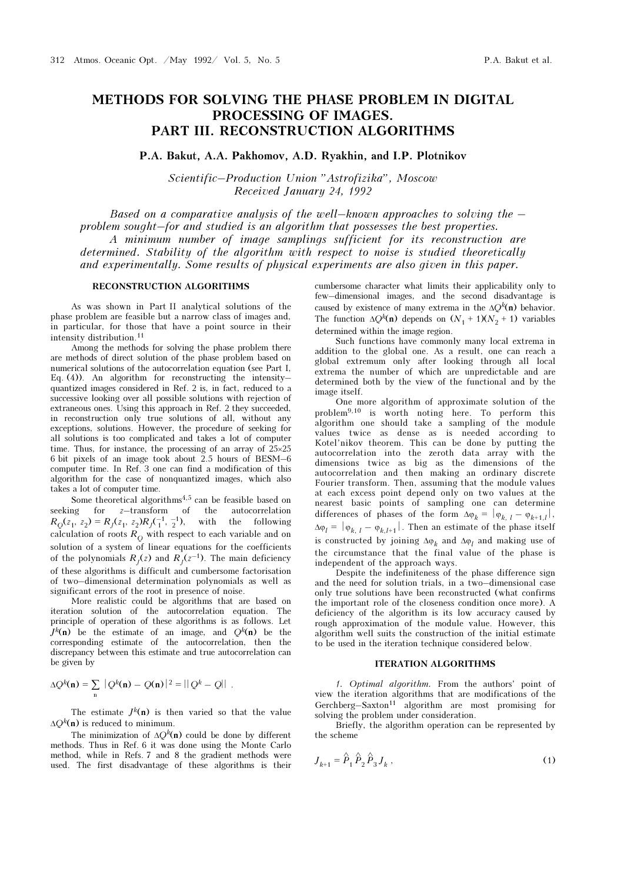# METHODS FOR SOLVING THE PHASE PROBLEM IN DIGITAL PROCESSING OF IMAGES. PART III. RECONSTRUCTION ALGORITHMS

P.A. Bakut, A.A. Pakhomov, A.D. Ryakhin, and I.P. Plotnikov

Scientific–Production Union "Astrofizika", Moscow Received January 24, 1992

Based on a comparative analysis of the well–known approaches to solving the  $$ problem sought–for and studied is an algorithm that possesses the best properties. A minimum number of image samplings sufficient for its reconstruction are determined. Stability of the algorithm with respect to noise is studied theoretically and experimentally. Some results of physical experiments are also given in this paper.

## RECONSTRUCTION ALGORITHMS

As was shown in Part II analytical solutions of the phase problem are feasible but a narrow class of images and, in particular, for those that have a point source in their intensity distribution.<sup>11</sup>

Among the methods for solving the phase problem there are methods of direct solution of the phase problem based on numerical solutions of the autocorrelation equation (see Part I, Eq. (4)). An algorithm for reconstructing the intensity– quantized images considered in Ref. 2 is, in fact, reduced to a successive looking over all possible solutions with rejection of extraneous ones. Using this approach in Ref. 2 they succeeded, in reconstruction only true solutions of all, without any exceptions, solutions. However, the procedure of seeking for all solutions is too complicated and takes a lot of computer time. Thus, for instance, the processing of an array of 25×25 6 bit pixels of an image took about 2.5 hours of BESM–6 computer time. In Ref. 3 one can find a modification of this algorithm for the case of nonquantized images, which also takes a lot of computer time.

Some theoretical algorithms<sup>4,5</sup> can be feasible based on seeking for z–transform of the autocorrelation  $R_Q(z_1, z_2) = R_J(z_1, z_2)R_J(-1, -1)$ , with the following calculation of roots  $R_{\rm O}$  with respect to each variable and on solution of a system of linear equations for the coefficients of the polynomials  $R<sub>I</sub>(z)$  and  $R<sub>I</sub>(z<sup>-1</sup>)$ . The main deficiency of these algorithms is difficult and cumbersome factorisation of two–dimensional determination polynomials as well as significant errors of the root in presence of noise.

More realistic could be algorithms that are based on iteration solution of the autocorrelation equation. The principle of operation of these algorithms is as follows. Let  $J^k(n)$  be the estimate of an image, and  $O^k(n)$  be the corresponding estimate of the autocorrelation, then the discrepancy between this estimate and true autocorrelation can be given by

$$
\Delta Q^{k}(\mathbf{n}) = \sum_{\mathbf{n}} |Q^{k}(\mathbf{n}) - Q(\mathbf{n})|^2 = ||Q^{k} - Q||.
$$

The estimate  $J^k(\mathbf{n})$  is then varied so that the value  $\Delta Q^k(\mathbf{n})$  is reduced to minimum.

The minimization of  $\Delta O^k(n)$  could be done by different methods. Thus in Ref. 6 it was done using the Monte Carlo method, while in Refs. 7 and 8 the gradient methods were used. The first disadvantage of these algorithms is their

cumbersome character what limits their applicability only to few–dimensional images, and the second disadvantage is caused by existence of many extrema in the  $\Delta Q^k(n)$  behavior. The function  $\Delta Q^k(\mathbf{n})$  depends on  $(N_1 + 1)(N_2 + 1)$  variables determined within the image region.

Such functions have commonly many local extrema in addition to the global one. As a result, one can reach a global extremum only after looking through all local extrema the number of which are unpredictable and are determined both by the view of the functional and by the image itself.

One more algorithm of approximate solution of the problem9,10 is worth noting here. To perform this algorithm one should take a sampling of the module values twice as dense as is needed according to Kotel'nikov theorem. This can be done by putting the autocorrelation into the zeroth data array with the dimensions twice as big as the dimensions of the autocorrelation and then making an ordinary discrete Fourier transform. Then, assuming that the module values at each excess point depend only on two values at the nearest basic points of sampling one can determine differences of phases of the form  $\Delta \varphi_k = |\varphi_{k, l} - \varphi_{k+1, l}|$ ,  $\Delta \varphi_l = |\varphi_{k, l} - \varphi_{k, l+1}|$ . Then an estimate of the phase itself is constructed by joining  $\Delta \varphi_k$  and  $\Delta \varphi_l$  and making use of the circumstance that the final value of the phase is independent of the approach ways.

Despite the indefiniteness of the phase difference sign and the need for solution trials, in a two–dimensional case only true solutions have been reconstructed (what confirms the important role of the closeness condition once more). A deficiency of the algorithm is its low accuracy caused by rough approximation of the module value. However, this algorithm well suits the construction of the initial estimate to be used in the iteration technique considered below.

#### ITERATION ALGORITHMS

1. Optimal algorithm. From the authors' point of view the iteration algorithms that are modifications of the Gerchberg–Saxton<sup>11</sup> algorithm are most promising for solving the problem under consideration.

Briefly, the algorithm operation can be represented by the scheme

$$
J_{k+1} = \hat{P}_1 \hat{P}_2 \hat{P}_3 J_k , \qquad (1)
$$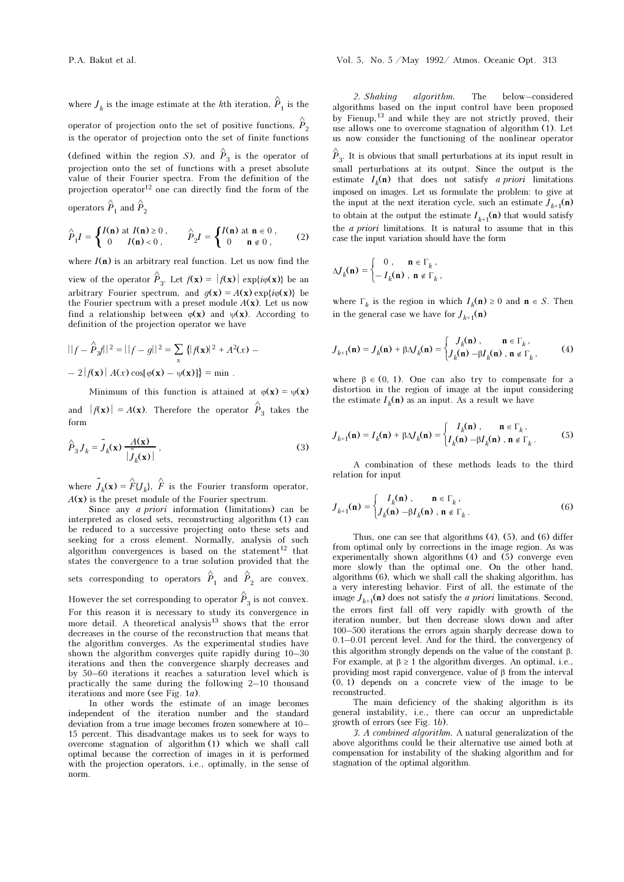where  $\boldsymbol{J}_k$  is the image estimate at the  $k\text{th}$  iteration,  $\hat{\boldsymbol{P}}_1$  is the operator of projection onto the set of positive functions,  $\stackrel{\wedge }{P}$ 2 is the operator of projection onto the set of finite functions (defined within the region S), and  $\hat{P}_3$  is the operator of projection onto the set of functions with a preset absolute value of their Fourier spectra. From the definition of the projection operator<sup>12</sup> one can directly find the form of the operators  $\stackrel{\wedge }{P}_1$  and  $\stackrel{\wedge }{P}$ 2

$$
\hat{P}_1 I = \begin{cases} I(\mathbf{n}) \text{ at } I(\mathbf{n}) \ge 0, \\ 0 & I(\mathbf{n}) < 0, \end{cases} \qquad \hat{P}_2 I = \begin{cases} I(\mathbf{n}) \text{ at } \mathbf{n} \in 0, \\ 0 & \mathbf{n} \notin 0, \end{cases} (2)
$$

where  $I(n)$  is an arbitrary real function. Let us now find the view of the operator  $\hat{P}_3$ . Let  $f(\mathbf{x}) = |f(\mathbf{x})| \exp\{i\varphi(\mathbf{x})\}$  be an arbitrary Fourier spectrum, and  $q(\mathbf{x}) = A(\mathbf{x}) \exp\{i\varphi(\mathbf{x})\}$  be the Fourier spectrum with a preset module  $A(x)$ . Let us now find a relationship between  $\varphi(\mathbf{x})$  and  $\psi(\mathbf{x})$ . According to definition of the projection operator we have

$$
||f - \hat{P}_3 f||^2 = ||f - g||^2 = \sum_{x} { |f(x)|^2 + A^2(x) - 2 |f(x)| |A(x) \cos[\varphi(x) - \psi(x)] } = \min.
$$

Minimum of this function is attained at  $\varphi(\mathbf{x}) = \psi(\mathbf{x})$ and  $|f(\mathbf{x})| = A(\mathbf{x})$ . Therefore the operator  $\hat{P}_3$  takes the form

$$
\hat{P}_3 J_k = \tilde{J}_k(\mathbf{x}) \frac{A(\mathbf{x})}{|\tilde{J}_k(\mathbf{x})|},
$$
\n(3)

where  $\tilde{J}_k(\mathbf{x}) = \hat{F} \{ J_k \}$ ,  $\hat{F}$  is the Fourier transform operator,  $A(x)$  is the preset module of the Fourier spectrum.

Since any *a priori* information (limitations) can be interpreted as closed sets, reconstructing algorithm (1) can be reduced to a successive projecting onto these sets and seeking for a cross element. Normally, analysis of such algorithm convergences is based on the statement $12$  that states the convergence to a true solution provided that the

sets corresponding to operators  $\hat{P}_1$  and  $\hat{P}_2$  are convex.

However the set corresponding to operator  $\hat{P}_3$  is not convex. For this reason it is necessary to study its convergence in more detail. A theoretical analysis<sup>13</sup> shows that the error decreases in the course of the reconstruction that means that the algorithm converges. As the experimental studies have shown the algorithm converges quite rapidly during 10–30 iterations and then the convergence sharply decreases and by 50–60 iterations it reaches a saturation level which is practically the same during the following 2–10 thousand iterations and more (see Fig. 1a).

In other words the estimate of an image becomes independent of the iteration number and the standard deviation from a true image becomes frozen somewhere at 10– 15 percent. This disadvantage makes us to seek for ways to overcome stagnation of algorithm (1) which we shall call optimal because the correction of images in it is performed with the projection operators, i.e., optimally, in the sense of norm.

2. Shaking algorithm. The below–considered algorithms based on the input control have been proposed by Fienup,13 and while they are not strictly proved, their use allows one to overcome stagnation of algorithm (1). Let us now consider the functioning of the nonlinear operator

 $\hat{\overleftrightarrow{P}}_3.$  It is obvious that small perturbations at its input result in small perturbations at its output. Since the output is the estimate  $I<sub>b</sub>(n)$  that does not satisfy *a priori* limitations imposed on images. Let us formulate the problem: to give at the input at the next iteration cycle, such an estimate  $J_{k+1}(\mathbf{n})$ to obtain at the output the estimate  $I_{k+1}(\mathbf{n})$  that would satisfy the a priori limitations. It is natural to assume that in this case the input variation should have the form

$$
\Delta J_k(\mathbf{n}) = \begin{cases} 0, & \mathbf{n} \in \Gamma_k, \\ -I_k(\mathbf{n}), & \mathbf{n} \notin \Gamma_k, \end{cases}
$$

where  $\Gamma_k$  is the region in which  $I_k(\mathbf{n}) \geq 0$  and  $\mathbf{n} \in S$ . Then in the general case we have for  $J_{k+1}(\mathbf{n})$ 

$$
J_{k+1}(\mathbf{n}) = J_k(\mathbf{n}) + \beta \Delta J_k(\mathbf{n}) = \begin{cases} J_k(\mathbf{n}) , & \mathbf{n} \in \Gamma_k , \\ J_k(\mathbf{n}) - \beta I_k(\mathbf{n}) , & \mathbf{n} \notin \Gamma_k , \end{cases} (4)
$$

where  $\beta \in (0, 1)$ . One can also try to compensate for a distortion in the region of image at the input considering the estimate  $I_k(n)$  as an input. As a result we have

$$
J_{k+1}(\mathbf{n}) = I_k(\mathbf{n}) + \beta \Delta J_k(\mathbf{n}) = \begin{cases} I_k(\mathbf{n}), & \mathbf{n} \in \Gamma_k, \\ I_k(\mathbf{n}) - \beta I_k(\mathbf{n}), & \mathbf{n} \notin \Gamma_k. \end{cases}
$$
 (5)

A combination of these methods leads to the third relation for input

$$
J_{k+1}(\mathbf{n}) = \begin{cases} I_k(\mathbf{n}), & \mathbf{n} \in \Gamma_k, \\ J_k(\mathbf{n}) - \beta I_k(\mathbf{n}), & \mathbf{n} \notin \Gamma_k. \end{cases}
$$
(6)

Thus, one can see that algorithms  $(4)$ ,  $(5)$ , and  $(6)$  differ from optimal only by corrections in the image region. As was experimentally shown algorithms  $(4)$  and  $(5)$  converge even more slowly than the optimal one. On the other hand, algorithms (6), which we shall call the shaking algorithm, has a very interesting behavior. First of all, the estimate of the image  $J_{k+1}(\mathbf{n})$  does not satisfy the *a priori* limitations. Second, the errors first fall off very rapidly with growth of the iteration number, but then decrease slows down and after 100–500 iterations the errors again sharply decrease down to 0.1–0.01 percent level. And for the third, the convergency of this algorithm strongly depends on the value of the constant β. For example, at  $\beta \ge 1$  the algorithm diverges. An optimal, i.e., providing most rapid convergence, value of β from the interval (0, 1) depends on a concrete view of the image to be reconstructed.

The main deficiency of the shaking algorithm is its general instability, i.e., there can occur an unpredictable growth of errors (see Fig. 1b).

3. A combined algorithm. A natural generalization of the above algorithms could be their alternative use aimed both at compensation for instability of the shaking algorithm and for stagnation of the optimal algorithm.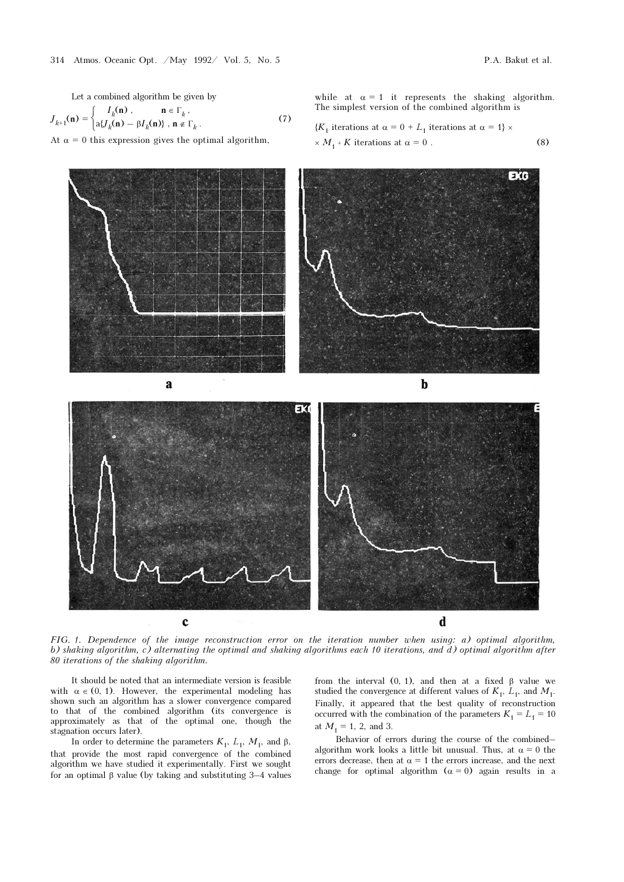Let a combined algorithm be given by

$$
J_{k+1}(\mathbf{n}) = \begin{cases} I_k(\mathbf{n}), & \mathbf{n} \in \Gamma_k, \\ a \{ J_k(\mathbf{n}) - \beta I_k(\mathbf{n}) \}, & \mathbf{n} \notin \Gamma_k. \end{cases}
$$
(7)

At  $\alpha = 0$  this expression gives the optimal algorithm,

while at  $\alpha = 1$  it represents the shaking algorithm. The simplest version of the combined algorithm is

$$
{K1 iterations at α = 0 + L1 iterations at α = 1} ×× M1 + K iterations at α = 0.
$$
 (8)



FIG. 1. Dependence of the image reconstruction error on the iteration number when using: a) optimal algorithm, b) shaking algorithm, c) alternating the optimal and shaking algorithms each 10 iterations, and  $d$ ) optimal algorithm after 80 iterations of the shaking algorithm.

It should be noted that an intermediate version is feasible with  $\alpha \in (0, 1)$ . However, the experimental modeling has shown such an algorithm has a slower convergence compared to that of the combined algorithm (its convergence is approximately as that of the optimal one, though the stagnation occurs later).

In order to determine the parameters  $K_1$ ,  $L_1$ ,  $M_1$ , and β, that provide the most rapid convergence of the combined algorithm we have studied it experimentally. First we sought for an optimal β value (by taking and substituting 3–4 values

from the interval (0, 1), and then at a fixed  $\beta$  value we studied the convergence at different values of  $K_1$ ,  $L_1$ , and  $M_1$ . Finally, it appeared that the best quality of reconstruction occurred with the combination of the parameters  $K_1 = L_1 = 10$ at  $M_1 = 1$ , 2, and 3.

Behavior of errors during the course of the combined– algorithm work looks a little bit unusual. Thus, at  $\alpha = 0$  the errors decrease, then at  $\alpha = 1$  the errors increase, and the next change for optimal algorithm  $(\alpha = 0)$  again results in a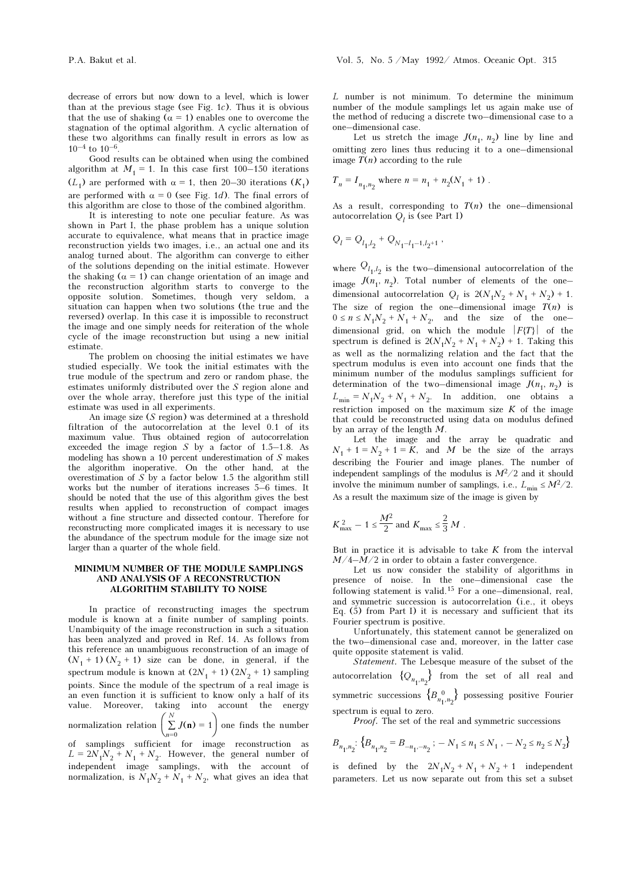Good results can be obtained when using the combined algorithm at  $M_1 = 1$ . In this case first 100–150 iterations  $(L<sub>1</sub>)$  are performed with  $\alpha = 1$ , then 20–30 iterations  $(K<sub>1</sub>)$ are performed with  $\alpha = 0$  (see Fig. 1*d*). The final errors of this algorithm are close to those of the combined algorithm.

It is interesting to note one peculiar feature. As was shown in Part I, the phase problem has a unique solution accurate to equivalence, what means that in practice image reconstruction yields two images, i.e., an actual one and its analog turned about. The algorithm can converge to either of the solutions depending on the initial estimate. However the shaking  $(\alpha = 1)$  can change orientation of an image and the reconstruction algorithm starts to converge to the opposite solution. Sometimes, though very seldom, a situation can happen when two solutions (the true and the reversed) overlap. In this case it is impossible to reconstruct the image and one simply needs for reiteration of the whole cycle of the image reconstruction but using a new initial estimate.

The problem on choosing the initial estimates we have studied especially. We took the initial estimates with the true module of the spectrum and zero or random phase, the estimates uniformly distributed over the S region alone and over the whole array, therefore just this type of the initial estimate was used in all experiments.

An image size (S region) was determined at a threshold filtration of the autocorrelation at the level 0.1 of its maximum value. Thus obtained region of autocorrelation exceeded the image region  $S$  by a factor of 1.5–1.8. As modeling has shown a 10 percent underestimation of S makes the algorithm inoperative. On the other hand, at the overestimation of S by a factor below 1.5 the algorithm still works but the number of iterations increases 5–6 times. It should be noted that the use of this algorithm gives the best results when applied to reconstruction of compact images without a fine structure and dissected contour. Therefore for reconstructing more complicated images it is necessary to use the abundance of the spectrum module for the image size not larger than a quarter of the whole field.

### MINIMUM NUMBER OF THE MODULE SAMPLINGS AND ANALYSIS OF A RECONSTRUCTION ALGORITHM STABILITY TO NOISE

In practice of reconstructing images the spectrum module is known at a finite number of sampling points. Unambiquity of the image reconstruction in such a situation has been analyzed and proved in Ref. 14. As follows from this reference an unambiguous reconstruction of an image of  $(N_1 + 1) (N_2 + 1)$  size can be done, in general, if the spectrum module is known at  $(2N_1 + 1) (2N_2 + 1)$  sampling points. Since the module of the spectrum of a real image is an even function it is sufficient to know only a half of its value. Moreover, taking into account the energy normalization relation  $\left(\sum_{n=0}^{N} J(n) = 1\right)$  $\sum_{n=1}^{N} J(n) = 1$  one finds the number of samplings sufficient for image reconstruction as  $L = 2N_1N_2 + N_1 + N_2$ . However, the general number of independent image samplings, with the account of normalization, is  $N_1N_2 + N_1 + N_2$ , what gives an idea that L number is not minimum. To determine the minimum number of the module samplings let us again make use of the method of reducing a discrete two–dimensional case to a one–dimensional case.

Let us stretch the image  $J(n_1, n_2)$  line by line and omitting zero lines thus reducing it to a one–dimensional image  $T(n)$  according to the rule

$$
T_n = I_{n_1, n_2}
$$
 where  $n = n_1 + n_2(N_1 + 1)$  .

As a result, corresponding to  $T(n)$  the one-dimensional autocorrelation  $Q_i$  is (see Part I)

$$
Q_l = Q_{l_1,l_2} + Q_{N_1-l_1-1,l_2+1} \;,
$$

where  $\mathcal{Q}_{l_1,l_2}$  is the two–dimensional autocorrelation of the image  $J(n_1, n_2)$ . Total number of elements of the onedimensional autocorrelation  $Q_l$  is  $2(N_1N_2 + N_1 + N_2) + 1$ . The size of region the one–dimensional image  $T(n)$  is  $0 \le n \le N_1N_2 + N_1 + N_2$ , and the size of the onedimensional grid, on which the module  $|F(T)|$  of the spectrum is defined is  $2(N_1N_2 + N_1 + N_2) + 1$ . Taking this as well as the normalizing relation and the fact that the spectrum modulus is even into account one finds that the minimum number of the modulus samplings sufficient for determination of the two–dimensional image  $J(n_1, n_2)$  is  $L_{\min} = N_1 N_2 + N_1 + N_2$ . In addition, one obtains a restriction imposed on the maximum size  $K$  of the image that could be reconstructed using data on modulus defined by an array of the length M.

Let the image and the array be quadratic and  $N_1 + 1 = N_2 + 1 = K$ , and M be the size of the arrays describing the Fourier and image planes. The number of independent samplings of the modulus is  $M^2/2$  and it should involve the minimum number of samplings, i.e.,  $L_{\text{min}} \leq M^2/2$ . As a result the maximum size of the image is given by

$$
K_{\text{max}}^2 - 1 \le \frac{M^2}{2} \text{ and } K_{\text{max}} \le \frac{2}{3} M \; .
$$

But in practice it is advisable to take  $K$  from the interval  $M/4-M/2$  in order to obtain a faster convergence.

Let us now consider the stability of algorithms in presence of noise. In the one–dimensional case the following statement is valid.15 For a one–dimensional, real, and symmetric succession is autocorrelation (i.e., it obeys Eq. (5) from Part I) it is necessary and sufficient that its Fourier spectrum is positive.

Unfortunately, this statement cannot be generalized on the two–dimensional case and, moreover, in the latter case quite opposite statement is valid.

Statement. The Lebesque measure of the subset of the autocorrelation  $\{Q_{n_1,n_2}\}$  from the set of all real and symmetric successions  $\{B_{n_{1},n_{2}}^{\quad 0}\}$  possessing positive Fourier spectrum is equal to zero.

Proof. The set of the real and symmetric successions

$$
B_{n_{1},n_{2}}\colon\Big\{ B_{n_{1},n_{2}}=B_{-n_{1},-n_{2}}\ ;\ -\ N_{1}\leq n_{1}\leq N_{1}\ ,\ -\ N_{2}\leq n_{2}\leq N_{2}\Big\}
$$

is defined by the  $2N_1N_2 + N_1 + N_2 + 1$  independent parameters. Let us now separate out from this set a subset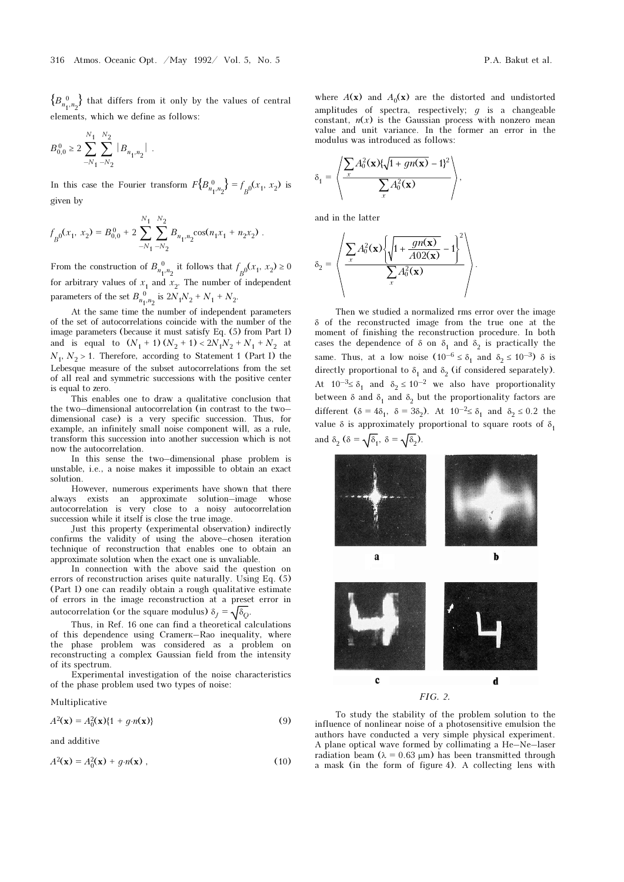$\left\{ B_{n_{1},n_{2}}^{\;\;0}\right\}$  that differs from it only by the values of central elements, which we define as follows:

$$
B^{\,0}_{0,0} \geq 2 \, \sum_{-N_1}^{N_1} \sum_{-N_2}^{N_2} \, |B_{n_1,n_2}| \;\; .
$$

In this case the Fourier transform  $F\left\{B_{n_1,n_2}^0\right\} = f_{B^0}(x_1, x_2)$  is given by

$$
f_{B^0}(x_1, x_2) = B_{0,0}^0 + 2 \sum_{-N_1}^{N_1} \sum_{-N_2}^{N_2} B_{n_1, n_2} \cos(n_1 x_1 + n_2 x_2).
$$

From the construction of  $B_{n_1,n_2}^0$  it follows that  $f_{B^0}(x_1, x_2) \geq 0$ for arbitrary values of  $x_1$  and  $x_2$ . The number of independent parameters of the set  $B_{n_1,n_2}^0$  is  $2N_1N_2 + N_1 + N_2$ .

At the same time the number of independent parameters of the set of autocorrelations coincide with the number of the image parameters (because it must satisfy Eq. (5) from Part I) and is equal to  $(N_1 + 1) (N_2 + 1) < 2N_1N_2 + N_1 + N_2$  at  $N_1$ ,  $N_2 > 1$ . Therefore, according to Statement 1 (Part I) the Lebesque measure of the subset autocorrelations from the set of all real and symmetric successions with the positive center is equal to zero.

This enables one to draw a qualitative conclusion that the two–dimensional autocorrelation (in contrast to the two– dimensional case) is a very specific succession. Thus, for example, an infinitely small noise component will, as a rule, transform this succession into another succession which is not now the autocorrelation.

In this sense the two–dimensional phase problem is unstable, i.e., a noise makes it impossible to obtain an exact solution.

However, numerous experiments have shown that there always exists an approximate solution–image whose autocorrelation is very close to a noisy autocorrelation succession while it itself is close the true image.

Just this property (experimental observation) indirectly confirms the validity of using the above–chosen iteration technique of reconstruction that enables one to obtain an approximate solution when the exact one is unvaliable.

In connection with the above said the question on errors of reconstruction arises quite naturally. Using Eq. (5) (Part I) one can readily obtain a rough qualitative estimate of errors in the image reconstruction at a preset error in autocorrelation (or the square modulus)  $\delta_I = \sqrt{\delta_O}$ .

Thus, in Ref. 16 one can find a theoretical calculations of this dependence using Cramerk–Rao inequality, where the phase problem was considered as a problem on reconstructing a complex Gaussian field from the intensity of its spectrum.

Experimental investigation of the noise characteristics of the phase problem used two types of noise:

Multiplicative

$$
A2(\mathbf{x}) = A02(\mathbf{x})\{1 + g \cdot n(\mathbf{x})\}
$$
 (9)

and additive

$$
A2(\mathbf{x}) = A02(\mathbf{x}) + g \cdot n(\mathbf{x}),
$$
\n(10)

where  $A(\mathbf{x})$  and  $A_0(\mathbf{x})$  are the distorted and undistorted amplitudes of spectra, respectively;  $q$  is a changeable constant,  $n(x)$  is the Gaussian process with nonzero mean value and unit variance. In the former an error in the modulus was introduced as follows:

$$
\delta_1 = \left\langle \frac{\sum_{x} A_0^2(\mathbf{x}) \{ \sqrt{1 + gn(\mathbf{x})} - 1 \}^2}{\sum_{x} A_0^2(\mathbf{x})} \right\rangle,
$$

and in the latter

$$
\delta_2 = \left\langle \frac{\sum_{x} A_0^2(\mathbf{x}) \left\{ \sqrt{1 + \frac{gn(\mathbf{x})}{A02(\mathbf{x})} - 1} \right\}^2}{\sum_{x} A_0^2(\mathbf{x})} \right\rangle.
$$

Then we studied a normalized rms error over the image δ of the reconstructed image from the true one at the moment of finishing the reconstruction procedure. In both cases the dependence of  $\delta$  on  $\delta_1$  and  $\delta_2$  is practically the same. Thus, at a low noise  $(10^{-6} \le \delta_1 \text{ and } \delta_2 \le 10^{-3})$  δ is directly proportional to  $\delta_1$  and  $\delta_2$  (if considered separately). At  $10^{-3} \le \delta_1$  and  $\delta_2 \le 10^{-2}$  we also have proportionality between  $\delta$  and  $\delta_1$  and  $\delta_2$  but the proportionality factors are different  $(\delta = 4\delta_1, \delta = 3\delta_2)$ . At  $10^{-2} \le \delta_1$  and  $\delta_2 \le 0.2$  the value  $\delta$  is approximately proportional to square roots of  $\delta_1$ and  $\delta_2$  ( $\delta = \sqrt{\delta_1}$ ,  $\delta = \sqrt{\delta_2}$ ).



To study the stability of the problem solution to the influence of nonlinear noise of a photosensitive emulsion the authors have conducted a very simple physical experiment. A plane optical wave formed by collimating a He–Ne–laser radiation beam ( $\lambda = 0.63 \mu m$ ) has been transmitted through a mask (in the form of figure 4). A collecting lens with